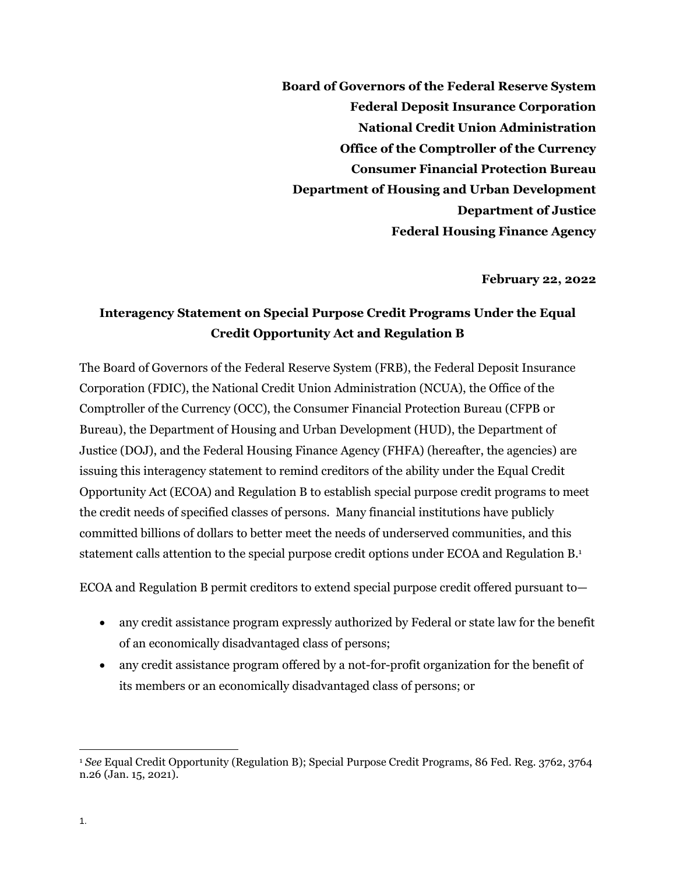**Board of Governors of the Federal Reserve System Federal Deposit Insurance Corporation National Credit Union Administration Office of the Comptroller of the Currency Consumer Financial Protection Bureau Department of Housing and Urban Development Department of Justice Federal Housing Finance Agency**

**February 22, 2022**

## **Interagency Statement on Special Purpose Credit Programs Under the Equal Credit Opportunity Act and Regulation B**

The Board of Governors of the Federal Reserve System (FRB), the Federal Deposit Insurance Corporation (FDIC), the National Credit Union Administration (NCUA), the Office of the Comptroller of the Currency (OCC), the Consumer Financial Protection Bureau (CFPB or Bureau), the Department of Housing and Urban Development (HUD), the Department of Justice (DOJ), and the Federal Housing Finance Agency (FHFA) (hereafter, the agencies) are issuing this interagency statement to remind creditors of the ability under the Equal Credit Opportunity Act (ECOA) and Regulation B to establish special purpose credit programs to meet the credit needs of specified classes of persons. Many financial institutions have publicly committed billions of dollars to better meet the needs of underserved communities, and this statement calls attention to the special purpose credit options under ECOA and Regulation B.<sup>1</sup>

ECOA and Regulation B permit creditors to extend special purpose credit offered pursuant to—

- any credit assistance program expressly authorized by Federal or state law for the benefit of an economically disadvantaged class of persons;
- any credit assistance program offered by a not-for-profit organization for the benefit of its members or an economically disadvantaged class of persons; or

 $\overline{a}$ <sup>1</sup> *See* Equal Credit Opportunity (Regulation B); Special Purpose Credit Programs, 86 Fed. Reg. 3762, 3764 n.26 (Jan. 15, 2021).